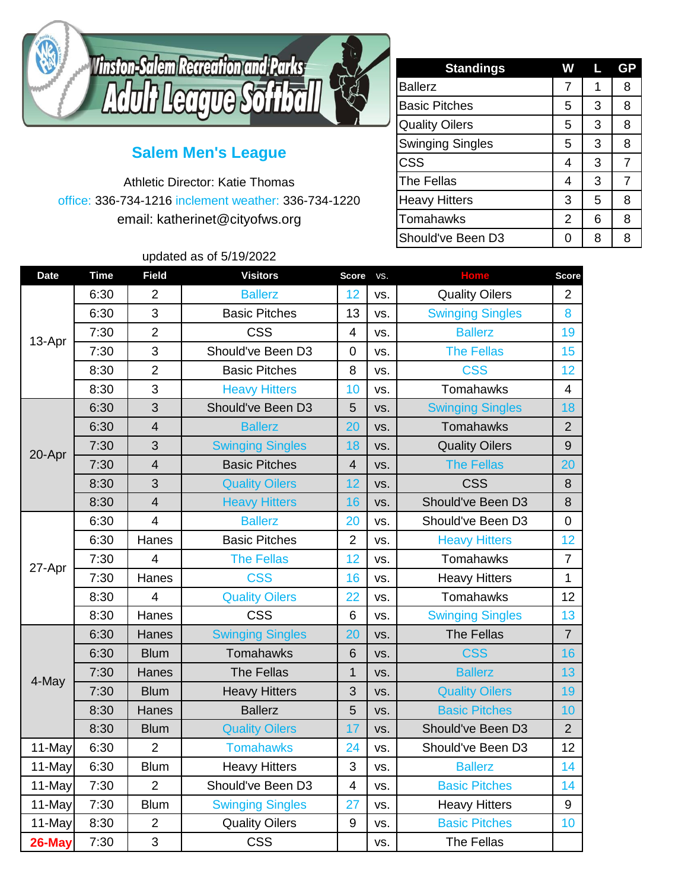

## **Salem Men's League**

Athletic Director: Katie Thomas office: 336-734-1216 inclement weather: 336-734-1220 email: katherinet@cityofws.org

updated as of 5/19/2022

| <b>Standings</b>        | W | L | GP             |
|-------------------------|---|---|----------------|
| <b>Ballerz</b>          | 7 | 1 | 8              |
| <b>Basic Pitches</b>    | 5 | 3 | 8              |
| <b>Quality Oilers</b>   | 5 | 3 | 8              |
| <b>Swinging Singles</b> | 5 | 3 | 8              |
| <b>CSS</b>              | 4 | 3 | $\overline{7}$ |
| <b>The Fellas</b>       | 4 | 3 | 7              |
| <b>Heavy Hitters</b>    | 3 | 5 | 8              |
| <b>Tomahawks</b>        | 2 | 6 | 8              |
| Should've Been D3       | 0 | 8 | 8              |

| <b>Date</b> | <b>Time</b> | <b>Field</b>            | <b>Visitors</b>         | <b>Score</b>   | VS. | <b>Home</b>             | <b>Score</b>   |
|-------------|-------------|-------------------------|-------------------------|----------------|-----|-------------------------|----------------|
| 13-Apr      | 6:30        | $\overline{2}$          | <b>Ballerz</b>          | 12             | VS. | <b>Quality Oilers</b>   | $\overline{2}$ |
|             | 6:30        | 3                       | <b>Basic Pitches</b>    | 13             | VS. | <b>Swinging Singles</b> | 8              |
|             | 7:30        | $\overline{2}$          | <b>CSS</b>              | $\overline{4}$ | VS. | <b>Ballerz</b>          | 19             |
|             | 7:30        | 3                       | Should've Been D3       | 0              | VS. | <b>The Fellas</b>       | 15             |
|             | 8:30        | $\overline{2}$          | <b>Basic Pitches</b>    | 8              | VS. | <b>CSS</b>              | 12             |
|             | 8:30        | 3                       | <b>Heavy Hitters</b>    | 10             | VS. | Tomahawks               | $\overline{4}$ |
| 20-Apr      | 6:30        | 3                       | Should've Been D3       | 5              | VS. | <b>Swinging Singles</b> | 18             |
|             | 6:30        | $\overline{\mathbf{4}}$ | <b>Ballerz</b>          | 20             | VS. | Tomahawks               | $\overline{2}$ |
|             | 7:30        | 3                       | <b>Swinging Singles</b> | 18             | VS. | <b>Quality Oilers</b>   | 9              |
|             | 7:30        | $\overline{4}$          | <b>Basic Pitches</b>    | $\overline{4}$ | VS. | <b>The Fellas</b>       | 20             |
|             | 8:30        | 3                       | <b>Quality Oilers</b>   | 12             | VS. | <b>CSS</b>              | 8              |
|             | 8:30        | $\overline{4}$          | <b>Heavy Hitters</b>    | 16             | VS. | Should've Been D3       | 8              |
| 27-Apr      | 6:30        | $\overline{4}$          | <b>Ballerz</b>          | 20             | VS. | Should've Been D3       | $\mathbf 0$    |
|             | 6:30        | Hanes                   | <b>Basic Pitches</b>    | $\overline{2}$ | VS. | <b>Heavy Hitters</b>    | 12             |
|             | 7:30        | $\overline{4}$          | <b>The Fellas</b>       | 12             | VS. | Tomahawks               | $\overline{7}$ |
|             | 7:30        | Hanes                   | <b>CSS</b>              | 16             | VS. | <b>Heavy Hitters</b>    | 1              |
|             | 8:30        | $\overline{4}$          | <b>Quality Oilers</b>   | 22             | VS. | Tomahawks               | 12             |
|             | 8:30        | Hanes                   | <b>CSS</b>              | 6              | VS. | <b>Swinging Singles</b> | 13             |
|             | 6:30        | Hanes                   | <b>Swinging Singles</b> | 20             | VS. | <b>The Fellas</b>       | $\overline{7}$ |
|             | 6:30        | <b>Blum</b>             | Tomahawks               | 6              | VS. | <b>CSS</b>              | 16             |
|             | 7:30        | Hanes                   | <b>The Fellas</b>       | 1              | VS. | <b>Ballerz</b>          | 13             |
| 4-May       | 7:30        | <b>Blum</b>             | <b>Heavy Hitters</b>    | 3              | VS. | <b>Quality Oilers</b>   | 19             |
|             | 8:30        | Hanes                   | <b>Ballerz</b>          | 5              | VS. | <b>Basic Pitches</b>    | 10             |
|             | 8:30        | <b>Blum</b>             | <b>Quality Oilers</b>   | 17             | VS. | Should've Been D3       | $\overline{2}$ |
| 11-May      | 6:30        | $\overline{2}$          | <b>Tomahawks</b>        | 24             | VS. | Should've Been D3       | 12             |
| 11-May      | 6:30        | <b>Blum</b>             | <b>Heavy Hitters</b>    | 3              | VS. | <b>Ballerz</b>          | 14             |
| 11-May      | 7:30        | $\overline{2}$          | Should've Been D3       | $\overline{4}$ | VS. | <b>Basic Pitches</b>    | 14             |
| 11-May      | 7:30        | <b>Blum</b>             | <b>Swinging Singles</b> | 27             | VS. | <b>Heavy Hitters</b>    | 9              |
| 11-May      | 8:30        | $\overline{2}$          | <b>Quality Oilers</b>   | 9              | VS. | <b>Basic Pitches</b>    | 10             |
| 26-May      | 7:30        | 3                       | <b>CSS</b>              |                | VS. | <b>The Fellas</b>       |                |